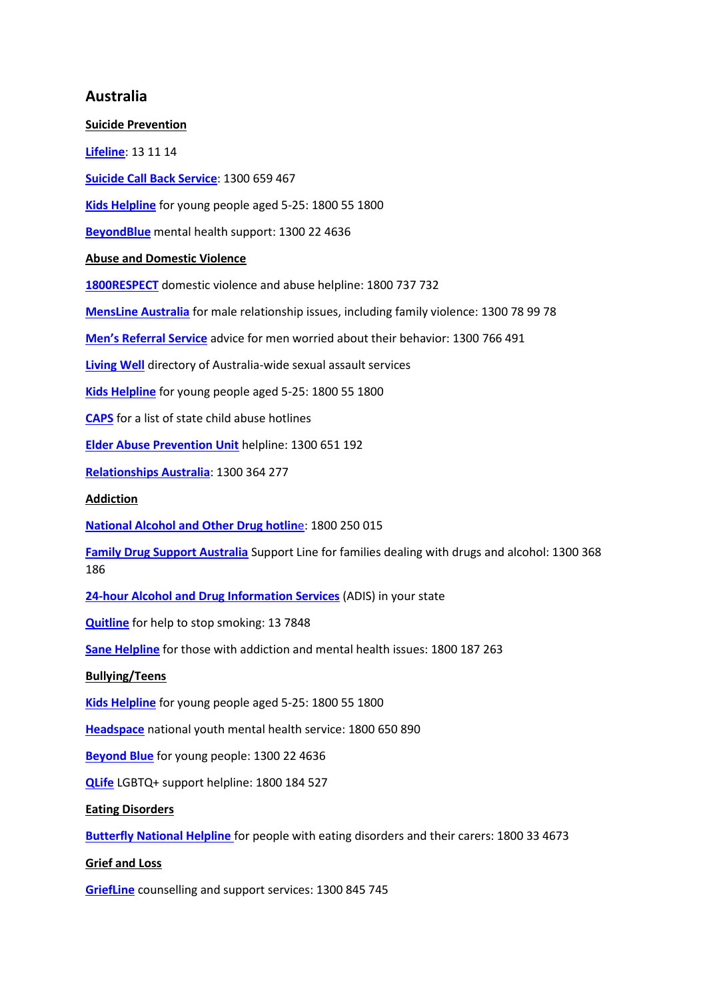## **Australia**

**Suicide Prevention [Lifeline](https://www.lifeline.org.au/Get-Help/Online-Services/crisis-chat)**: 13 11 14 **[Suicide Call Back Service](https://www.suicidecallbackservice.org.au/)**: 1300 659 467 **[Kids Helpline](https://kidshelpline.com.au/)** for young people aged 5-25: 1800 55 1800 **[BeyondBlue](https://www.beyondblue.org.au/get-support/get-immediate-support)** mental health support: 1300 22 4636 **Abuse and Domestic Violence [1800RESPECT](http://www.1800respect.org.au/)** domestic violence and abuse helpline: 1800 737 732 **[MensLine Australia](https://mensline.org.au/)** for male relationship issues, including family violence: 1300 78 99 78 **[Men's Referral Service](https://ntv.org.au/get-help/)** advice for men worried about their behavior: 1300 766 491 **[Living Well](http://www.livingwell.org.au/get-support/other-services-2/australia-wide-sexual-assault-services-2/)** directory of Australia-wide sexual assault services **[Kids Helpline](https://kidshelpline.com.au/)** for young people aged 5-25: 1800 55 1800 **[CAPS](https://www.capsau.org/)** for a list of state child abuse hotlines **[Elder Abuse Prevention Unit](http://www.eapu.com.au/)** helpline: 1300 651 192 **[Relationships Australia](https://relationships.org.au/)**: 1300 364 277 **Addiction [National Alcohol and Other Drug hotlin](https://campaigns.health.gov.au/drughelp/how-find-help)**e: 1800 250 015 **[Family Drug Support Australia](https://www.fds.org.au/)** Support Line for families dealing with drugs and alcohol: 1300 368 186 **[24-hour Alcohol and Drug Information Services](https://www.counsellingonline.org.au/find-support/telephone-support)** (ADIS) in your state **[Quitline](https://www.health.gov.au/contacts/quitline)** for help to stop smoking: 13 7848 **[Sane Helpline](https://www.sane.org/get-help)** for those with addiction and mental health issues: 1800 187 263 **Bullying/Teens [Kids Helpline](https://kidshelpline.com.au/)** for young people aged 5-25: 1800 55 1800 **[Headspace](https://headspace.org.au/eheadspace/)** national youth mental health service: 1800 650 890 **[Beyond Blue](https://www.beyondblue.org.au/who-does-it-affect/young-people)** for young people: 1300 22 4636 **[QLife](https://qlife.org.au/)** LGBTQ+ support helpline: 1800 184 527 **Eating Disorders [Butterfly National Helpline](https://butterfly.org.au/get-support/helpline/)** for people with eating disorders and their carers: 1800 33 4673 **Grief and Loss [GriefLine](https://griefline.org.au/phone-counselling/)** counselling and support services: 1300 845 745